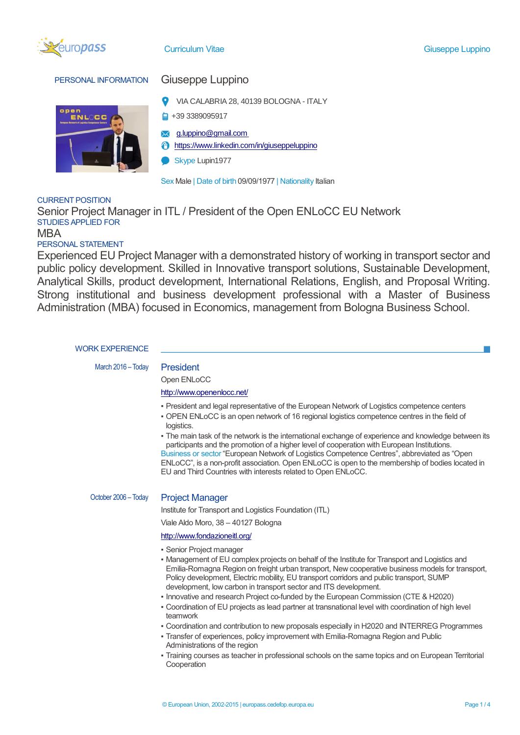

### PERSONAL INFORMATION Giuseppe Luppino



- VIA CALABRIA 28, 40139 BOLOGNA ITALY
- $\Box$  +39 3389095917
- [g.luppino@gmail.com](mailto:g.luppino@gmail.com)  $\searrow$
- <https://www.linkedin.com/in/giuseppeluppino>
- Skype Lupin1977

Sex Male | Date of birth 09/09/1977 | Nationality Italian

### CURRENT POSITION

Senior Project Manager in ITL / President of the Open ENLoCC EU Network STUDIES APPLIED FOR MBA

### PERSONAL STATEMENT

Experienced EU Project Manager with a demonstrated history of working in transport sector and public policy development. Skilled in Innovative transport solutions, Sustainable Development, Analytical Skills, product development, International Relations, English, and Proposal Writing. Strong institutional and business development professional with a Master of Business Administration (MBA) focused in Economics, management from Bologna Business School.

#### WORK EXPERIENCE

March 2016 – Today President

## Open ENLoCC

### <http://www.openenlocc.net/>

- President and legal representative of the European Network of Logistics competence centers
- OPEN ENLoCC is an open network of 16 regional logistics competence centres in the field of logistics.
- The main task of the network is the international exchange of experience and knowledge between its participants and the promotion of a higher level of cooperation with European Institutions. Business or sector "European Network of Logistics Competence Centres", abbreviated as "Open ENLoCC", is a non-profit association. Open ENLoCC is open to the membership of bodies located in

October 2006 – Today Project Manager

Institute for Transport and Logistics Foundation (ITL)

EU and Third Countries with interests related to Open ENLoCC.

Viale Aldo Moro, 38 – 40127 Bologna

#### <http://www.fondazioneitl.org/>

- **Senior Project manager**
- Management of EU complex projects on behalf of the Institute for Transport and Logistics and Emilia-Romagna Region on freight urban transport, New cooperative business models for transport, Policy development, Electric mobility, EU transport corridors and public transport, SUMP development, low carbon in transport sector and ITS development.
- Innovative and research Project co-funded by the European Commission (CTE & H2020)
- Coordination of EU projects as lead partner at transnational level with coordination of high level teamwork
- Coordination and contribution to new proposals especially in H2020 and INTERREG Programmes
- Transfer of experiences, policy improvement with Emilia-Romagna Region and Public Administrations of the region
- Training courses as teacher in professional schools on the same topics and on European Territorial Cooperation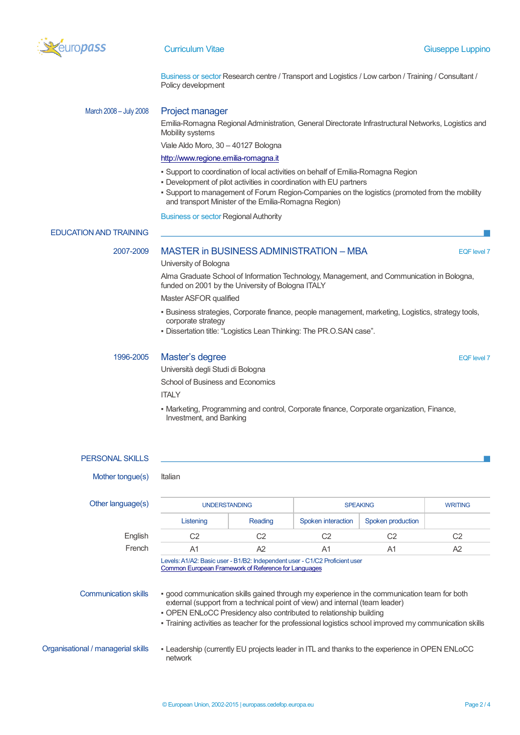

Business or sector Research centre / Transport and Logistics / Low carbon / Training / Consultant / Policy development

### March 2008 – July 2008 Project manager

Emilia-Romagna Regional Administration, General Directorate Infrastructural Networks, Logistics and Mobility systems

Viale Aldo Moro, 30 – 40127 Bologna

#### [http://www.regione.emilia-romagna.it](http://www.regione.emilia-romagna.it/)

- Support to coordination of local activities on behalf of Emilia-Romagna Region
- Development of pilot activities in coordination with EU partners
- Support to management of Forum Region-Companies on the logistics (promoted from the mobility and transport Minister of the Emilia-Romagna Region)

Business or sector Regional Authority

#### EDUCATION AND TRAINING

#### 2007-2009 MASTER in BUSINESS ADMINISTRATION – MBA EQF level 7

University of Bologna

Alma Graduate School of Information Technology, Management, and Communication in Bologna, funded on 2001 by the University of Bologna ITALY

Master ASFOR qualified

- Business strategies, Corporate finance, people management, marketing, Logistics, strategy tools, corporate strategy
- Dissertation title: "Logistics Lean Thinking: The PR.O.SAN case".

### 1996-2005 Master's degree **Eq. 1996-2005** Eq. 1996-2005

Università degli Studi di Bologna School of Business and Economics **ITALY** 

▪ Marketing, Programming and control, Corporate finance, Corporate organization, Finance, Investment, and Banking

# PERSONAL SKILLS Mother tongue(s) Italian Other language(s) The UNDERSTANDING SPEAKING SPEAKING WRITING Listening Reading Spoken interaction Spoken production English C2 C2 C2 C2 C2 French A1 A2 A1 A1 A2 Levels: A1/A2: Basic user - B1/B2: Independent user - C1/C2 Proficient user [Common European Framework of Reference for Languages](http://europass.cedefop.europa.eu/en/resources/european-language-levels-cefr) Communication skills • good communication skills gained through my experience in the communication team for both external (support from a technical point of view) and internal (team leader) • OPEN ENLoCC Presidency also contributed to relationship building ▪ Training activities as teacher for the professional logistics school improved my communication skills Organisational / managerial skills ▪ Leadership (currently EU projects leader in ITL and thanks to the experience in OPEN ENLoCC network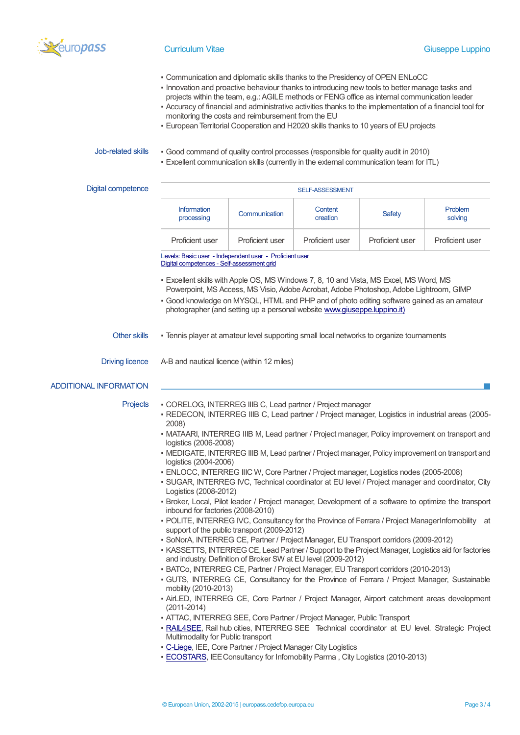

- Communication and diplomatic skills thanks to the Presidency of OPEN ENLoCC
- Innovation and proactive behaviour thanks to introducing new tools to better manage tasks and
- projects within the team, e.g.: AGILE methods or FENG office as internal communication leader
- Accuracy of financial and administrative activities thanks to the implementation of a financial tool for monitoring the costs and reimbursement from the EU
- European Territorial Cooperation and H2020 skills thanks to 10 years of EU projects

- Job-related skills Good command of quality control processes (responsible for quality audit in 2010)
	- Excellent communication skills (currently in the external communication team for ITL)

| Digital competence            | SELF-ASSESSMENT                                                                                                                                                                                                                                                                                                                                                                                                                                                                                                                                                                                                                                                                                                                                                                                                                                                                                                                                         |                 |                     |                 |                    |
|-------------------------------|---------------------------------------------------------------------------------------------------------------------------------------------------------------------------------------------------------------------------------------------------------------------------------------------------------------------------------------------------------------------------------------------------------------------------------------------------------------------------------------------------------------------------------------------------------------------------------------------------------------------------------------------------------------------------------------------------------------------------------------------------------------------------------------------------------------------------------------------------------------------------------------------------------------------------------------------------------|-----------------|---------------------|-----------------|--------------------|
|                               | Information<br>processing                                                                                                                                                                                                                                                                                                                                                                                                                                                                                                                                                                                                                                                                                                                                                                                                                                                                                                                               | Communication   | Content<br>creation | Safety          | Problem<br>solving |
|                               | Proficient user                                                                                                                                                                                                                                                                                                                                                                                                                                                                                                                                                                                                                                                                                                                                                                                                                                                                                                                                         | Proficient user | Proficient user     | Proficient user | Proficient user    |
|                               | Levels: Basic user - Independent user - Proficient user<br>Digital competences - Self-assessment grid                                                                                                                                                                                                                                                                                                                                                                                                                                                                                                                                                                                                                                                                                                                                                                                                                                                   |                 |                     |                 |                    |
|                               | - Excellent skills with Apple OS, MS Windows 7, 8, 10 and Vista, MS Excel, MS Word, MS<br>Powerpoint, MS Access, MS Visio, Adobe Acrobat, Adobe Photoshop, Adobe Lightroom, GIMP<br>- Good knowledge on MYSQL, HTML and PHP and of photo editing software gained as an amateur<br>photographer (and setting up a personal website www.giuseppe.luppino.it)                                                                                                                                                                                                                                                                                                                                                                                                                                                                                                                                                                                              |                 |                     |                 |                    |
| Other skills                  | - Tennis player at amateur level supporting small local networks to organize tournaments                                                                                                                                                                                                                                                                                                                                                                                                                                                                                                                                                                                                                                                                                                                                                                                                                                                                |                 |                     |                 |                    |
| <b>Driving licence</b>        | A-B and nautical licence (within 12 miles)                                                                                                                                                                                                                                                                                                                                                                                                                                                                                                                                                                                                                                                                                                                                                                                                                                                                                                              |                 |                     |                 |                    |
| <b>ADDITIONAL INFORMATION</b> |                                                                                                                                                                                                                                                                                                                                                                                                                                                                                                                                                                                                                                                                                                                                                                                                                                                                                                                                                         |                 |                     |                 |                    |
| Projects                      | · CORELOG, INTERREG IIIB C, Lead partner / Project manager<br>- REDECON, INTERREG IIIB C, Lead partner / Project manager, Logistics in industrial areas (2005-<br>2008)<br>• MATAARI, INTERREG IIIB M, Lead partner / Project manager, Policy improvement on transport and<br>logistics (2006-2008)<br>• MEDIGATE, INTERREG IIIB M, Lead partner / Project manager, Policy improvement on transport and<br>logistics (2004-2006)<br>· ENLOCC, INTERREG IIIC W, Core Partner / Project manager, Logistics nodes (2005-2008)<br>· SUGAR, INTERREG IVC, Technical coordinator at EU level / Project manager and coordinator, City<br>Logistics (2008-2012)<br>- Broker, Local, Pilot leader / Project manager, Development of a software to optimize the transport<br>inbound for factories (2008-2010)<br>- POLITE, INTERREG IVC, Consultancy for the Province of Ferrara / Project ManagerInfomobility at<br>support of the public transport (2009-2012) |                 |                     |                 |                    |
|                               | · SoNorA, INTERREG CE, Partner / Project Manager, EU Transport corridors (2009-2012)<br>- KASSETTS, INTERREG CE, Lead Partner / Support to the Project Manager, Logistics aid for factories<br>and industry. Definition of Broker SW at EU level (2009-2012)<br>- BATCo, INTERREG CE, Partner / Project Manager, EU Transport corridors (2010-2013)<br>• GUTS, INTERREG CE, Consultancy for the Province of Ferrara / Project Manager, Sustainable<br>mobility (2010-2013)<br>- AirLED, INTERREG CE, Core Partner / Project Manager, Airport catchment areas development<br>$(2011 - 2014)$<br>- ATTAC, INTERREG SEE, Core Partner / Project Manager, Public Transport<br>- RAIL4SEE, Rail hub cities, INTERREG SEE Technical coordinator at EU level. Strategic Project<br>Multimodality for Public transport<br>• C-Liege, IEE, Core Partner / Project Manager City Logistics                                                                         |                 |                     |                 |                    |
|                               | - <b>ECOSTARS</b> , IEE Consultancy for Infomobility Parma, City Logistics (2010-2013)                                                                                                                                                                                                                                                                                                                                                                                                                                                                                                                                                                                                                                                                                                                                                                                                                                                                  |                 |                     |                 |                    |